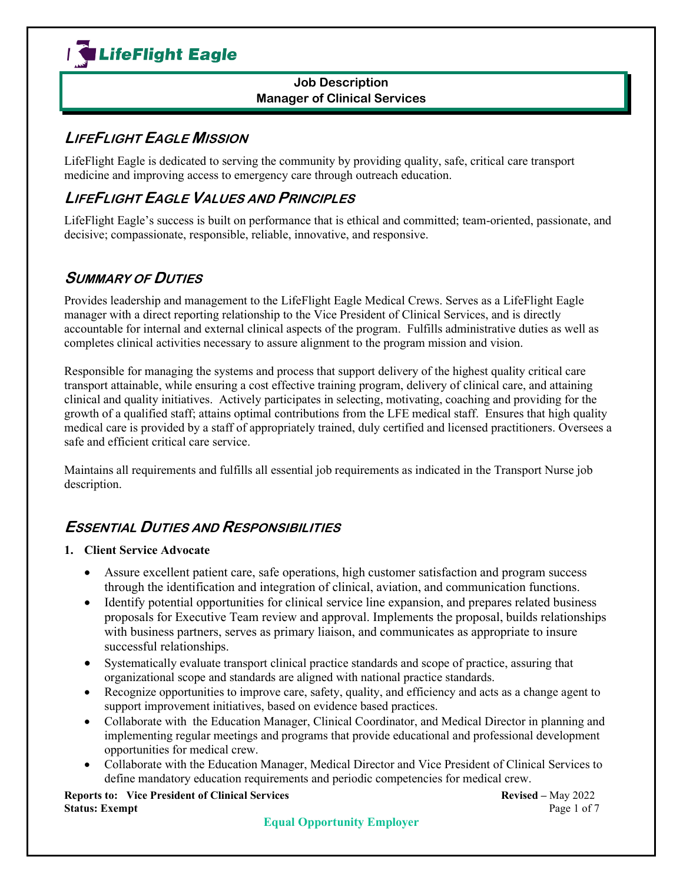

## **LIFEFLIGHT EAGLE MISSION**

LifeFlight Eagle is dedicated to serving the community by providing quality, safe, critical care transport medicine and improving access to emergency care through outreach education.

## **LIFEFLIGHT EAGLE VALUES AND PRINCIPLES**

LifeFlight Eagle's success is built on performance that is ethical and committed; team-oriented, passionate, and decisive; compassionate, responsible, reliable, innovative, and responsive.

## **SUMMARY OF DUTIES**

Provides leadership and management to the LifeFlight Eagle Medical Crews. Serves as a LifeFlight Eagle manager with a direct reporting relationship to the Vice President of Clinical Services, and is directly accountable for internal and external clinical aspects of the program. Fulfills administrative duties as well as completes clinical activities necessary to assure alignment to the program mission and vision.

Responsible for managing the systems and process that support delivery of the highest quality critical care transport attainable, while ensuring a cost effective training program, delivery of clinical care, and attaining clinical and quality initiatives. Actively participates in selecting, motivating, coaching and providing for the growth of a qualified staff; attains optimal contributions from the LFE medical staff. Ensures that high quality medical care is provided by a staff of appropriately trained, duly certified and licensed practitioners. Oversees a safe and efficient critical care service.

Maintains all requirements and fulfills all essential job requirements as indicated in the Transport Nurse job description.

## **ESSENTIAL DUTIES AND RESPONSIBILITIES**

### **1. Client Service Advocate**

- Assure excellent patient care, safe operations, high customer satisfaction and program success through the identification and integration of clinical, aviation, and communication functions.
- Identify potential opportunities for clinical service line expansion, and prepares related business proposals for Executive Team review and approval. Implements the proposal, builds relationships with business partners, serves as primary liaison, and communicates as appropriate to insure successful relationships.
- Systematically evaluate transport clinical practice standards and scope of practice, assuring that organizational scope and standards are aligned with national practice standards.
- Recognize opportunities to improve care, safety, quality, and efficiency and acts as a change agent to support improvement initiatives, based on evidence based practices.
- Collaborate with the Education Manager, Clinical Coordinator, and Medical Director in planning and implementing regular meetings and programs that provide educational and professional development opportunities for medical crew.
- Collaborate with the Education Manager, Medical Director and Vice President of Clinical Services to define mandatory education requirements and periodic competencies for medical crew.

**Reports to: Vice President of Clinical Services Revised –** May 2022<br> **Status: Exempt** Page 1 of 7 **Status: Exempt**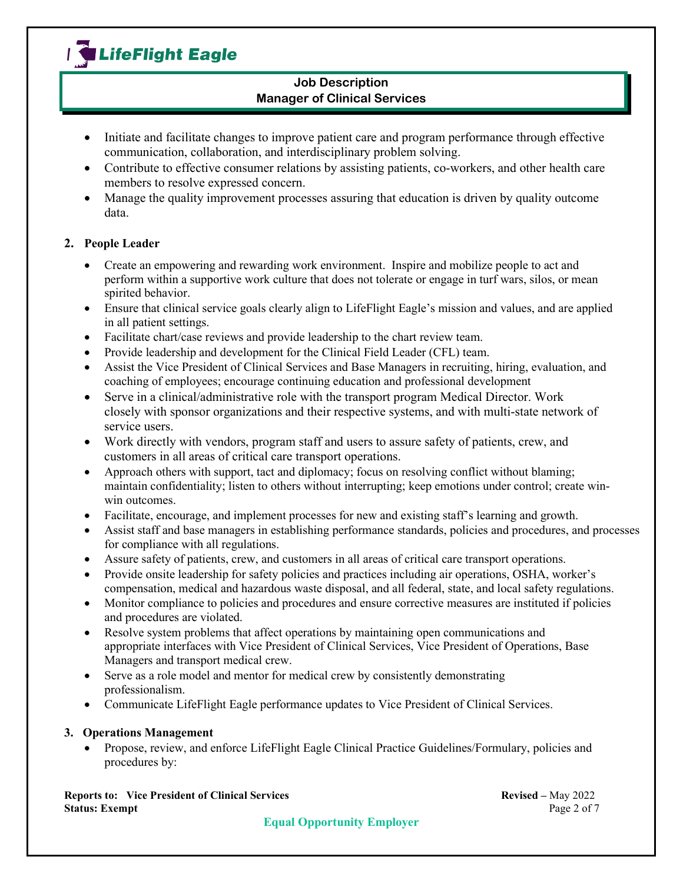## I LifeFlight Eagle

### **Job Description Manager of Clinical Services**

- Initiate and facilitate changes to improve patient care and program performance through effective communication, collaboration, and interdisciplinary problem solving.
- Contribute to effective consumer relations by assisting patients, co-workers, and other health care members to resolve expressed concern.
- Manage the quality improvement processes assuring that education is driven by quality outcome data.

### **2. People Leader**

- Create an empowering and rewarding work environment. Inspire and mobilize people to act and perform within a supportive work culture that does not tolerate or engage in turf wars, silos, or mean spirited behavior.
- Ensure that clinical service goals clearly align to LifeFlight Eagle's mission and values, and are applied in all patient settings.
- Facilitate chart/case reviews and provide leadership to the chart review team.
- Provide leadership and development for the Clinical Field Leader (CFL) team.
- Assist the Vice President of Clinical Services and Base Managers in recruiting, hiring, evaluation, and coaching of employees; encourage continuing education and professional development
- Serve in a clinical/administrative role with the transport program Medical Director. Work closely with sponsor organizations and their respective systems, and with multi-state network of service users.
- Work directly with vendors, program staff and users to assure safety of patients, crew, and customers in all areas of critical care transport operations.
- Approach others with support, tact and diplomacy; focus on resolving conflict without blaming; maintain confidentiality; listen to others without interrupting; keep emotions under control; create winwin outcomes.
- Facilitate, encourage, and implement processes for new and existing staff's learning and growth.
- Assist staff and base managers in establishing performance standards, policies and procedures, and processes for compliance with all regulations.
- Assure safety of patients, crew, and customers in all areas of critical care transport operations.
- Provide onsite leadership for safety policies and practices including air operations, OSHA, worker's compensation, medical and hazardous waste disposal, and all federal, state, and local safety regulations.
- Monitor compliance to policies and procedures and ensure corrective measures are instituted if policies and procedures are violated.
- Resolve system problems that affect operations by maintaining open communications and appropriate interfaces with Vice President of Clinical Services, Vice President of Operations, Base Managers and transport medical crew.
- Serve as a role model and mentor for medical crew by consistently demonstrating professionalism.
- Communicate LifeFlight Eagle performance updates to Vice President of Clinical Services.

### **3. Operations Management**

• Propose, review, and enforce LifeFlight Eagle Clinical Practice Guidelines/Formulary, policies and procedures by:

**Reports to: Vice President of Clinical Services and Services** Revised – May 2022<br>Status: Exempt Page 2 of 7 **Status: Exempt**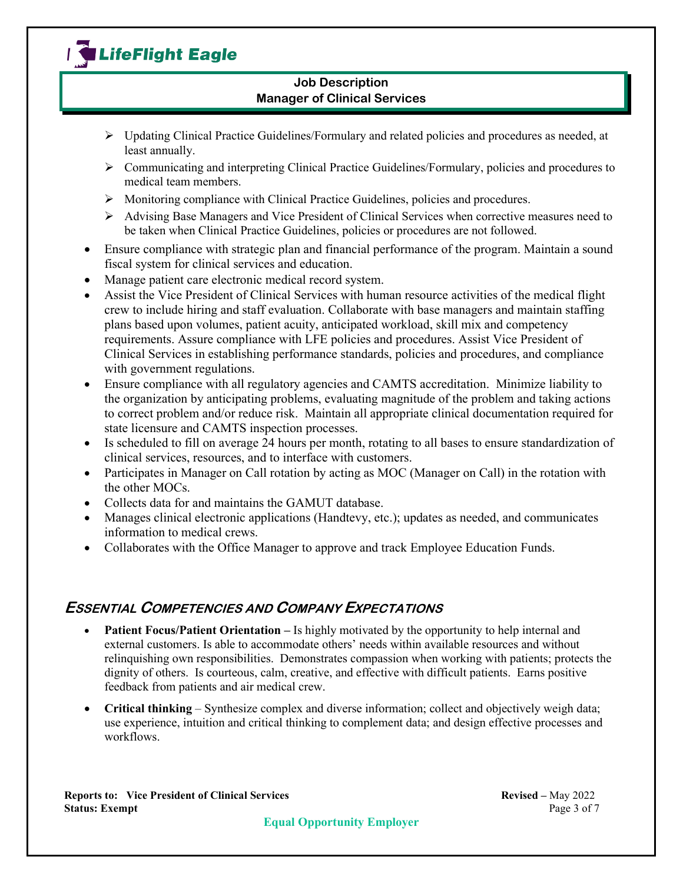# I LifeFlight Eagle

### **Job Description Manager of Clinical Services**

- $\triangleright$  Updating Clinical Practice Guidelines/Formulary and related policies and procedures as needed, at least annually.
- $\triangleright$  Communicating and interpreting Clinical Practice Guidelines/Formulary, policies and procedures to medical team members.
- $\triangleright$  Monitoring compliance with Clinical Practice Guidelines, policies and procedures.
- $\triangleright$  Advising Base Managers and Vice President of Clinical Services when corrective measures need to be taken when Clinical Practice Guidelines, policies or procedures are not followed.
- Ensure compliance with strategic plan and financial performance of the program. Maintain a sound fiscal system for clinical services and education.
- Manage patient care electronic medical record system.
- Assist the Vice President of Clinical Services with human resource activities of the medical flight crew to include hiring and staff evaluation. Collaborate with base managers and maintain staffing plans based upon volumes, patient acuity, anticipated workload, skill mix and competency requirements. Assure compliance with LFE policies and procedures. Assist Vice President of Clinical Services in establishing performance standards, policies and procedures, and compliance with government regulations.
- Ensure compliance with all regulatory agencies and CAMTS accreditation. Minimize liability to the organization by anticipating problems, evaluating magnitude of the problem and taking actions to correct problem and/or reduce risk. Maintain all appropriate clinical documentation required for state licensure and CAMTS inspection processes.
- Is scheduled to fill on average 24 hours per month, rotating to all bases to ensure standardization of clinical services, resources, and to interface with customers.
- Participates in Manager on Call rotation by acting as MOC (Manager on Call) in the rotation with the other MOCs.
- Collects data for and maintains the GAMUT database.
- Manages clinical electronic applications (Handtevy, etc.); updates as needed, and communicates information to medical crews.
- Collaborates with the Office Manager to approve and track Employee Education Funds.

## **ESSENTIAL COMPETENCIES AND COMPANY EXPECTATIONS**

- **Patient Focus/Patient Orientation** Is highly motivated by the opportunity to help internal and external customers. Is able to accommodate others' needs within available resources and without relinquishing own responsibilities. Demonstrates compassion when working with patients; protects the dignity of others. Is courteous, calm, creative, and effective with difficult patients. Earns positive feedback from patients and air medical crew.
- **Critical thinking** Synthesize complex and diverse information; collect and objectively weigh data; use experience, intuition and critical thinking to complement data; and design effective processes and workflows.

**Reports to: Vice President of Clinical Services and Services** Revised – May 2022<br>Status: Exempt Page 3 of 7 **Status: Exempt**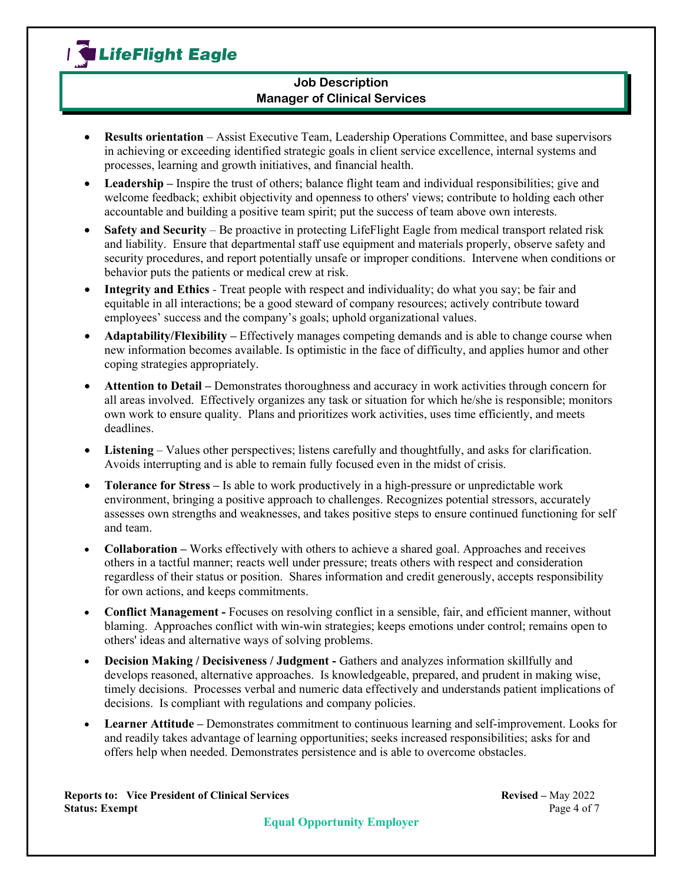

- **Results orientation** Assist Executive Team, Leadership Operations Committee, and base supervisors in achieving or exceeding identified strategic goals in client service excellence, internal systems and processes, learning and growth initiatives, and financial health.
- **Leadership –** Inspire the trust of others; balance flight team and individual responsibilities; give and welcome feedback; exhibit objectivity and openness to others' views; contribute to holding each other accountable and building a positive team spirit; put the success of team above own interests.
- **Safety and Security** Be proactive in protecting LifeFlight Eagle from medical transport related risk and liability. Ensure that departmental staff use equipment and materials properly, observe safety and security procedures, and report potentially unsafe or improper conditions. Intervene when conditions or behavior puts the patients or medical crew at risk.
- **Integrity and Ethics** *-* Treat people with respect and individuality; do what you say; be fair and equitable in all interactions; be a good steward of company resources; actively contribute toward employees' success and the company's goals; uphold organizational values.
- **Adaptability/Flexibility –** Effectively manages competing demands and is able to change course when new information becomes available. Is optimistic in the face of difficulty, and applies humor and other coping strategies appropriately.
- **Attention to Detail –** Demonstrates thoroughness and accuracy in work activities through concern for all areas involved. Effectively organizes any task or situation for which he/she is responsible; monitors own work to ensure quality. Plans and prioritizes work activities, uses time efficiently, and meets deadlines.
- **Listening** Values other perspectives; listens carefully and thoughtfully, and asks for clarification. Avoids interrupting and is able to remain fully focused even in the midst of crisis.
- **Tolerance for Stress –** Is able to work productively in a high-pressure or unpredictable work environment, bringing a positive approach to challenges. Recognizes potential stressors, accurately assesses own strengths and weaknesses, and takes positive steps to ensure continued functioning for self and team.
- **Collaboration** Works effectively with others to achieve a shared goal. Approaches and receives others in a tactful manner; reacts well under pressure; treats others with respect and consideration regardless of their status or position. Shares information and credit generously, accepts responsibility for own actions, and keeps commitments.
- **Conflict Management -** Focuses on resolving conflict in a sensible, fair, and efficient manner, without blaming. Approaches conflict with win-win strategies; keeps emotions under control; remains open to others' ideas and alternative ways of solving problems.
- **Decision Making / Decisiveness / Judgment -** Gathers and analyzes information skillfully and develops reasoned, alternative approaches. Is knowledgeable, prepared, and prudent in making wise, timely decisions. Processes verbal and numeric data effectively and understands patient implications of decisions. Is compliant with regulations and company policies.
- **Learner Attitude –** Demonstrates commitment to continuous learning and self-improvement. Looks for and readily takes advantage of learning opportunities; seeks increased responsibilities; asks for and offers help when needed. Demonstrates persistence and is able to overcome obstacles.

**Reports to: Vice President of Clinical Services and Services** Revised – May 2022<br>Status: Exempt Page 4 of 7 **Status: Exempt**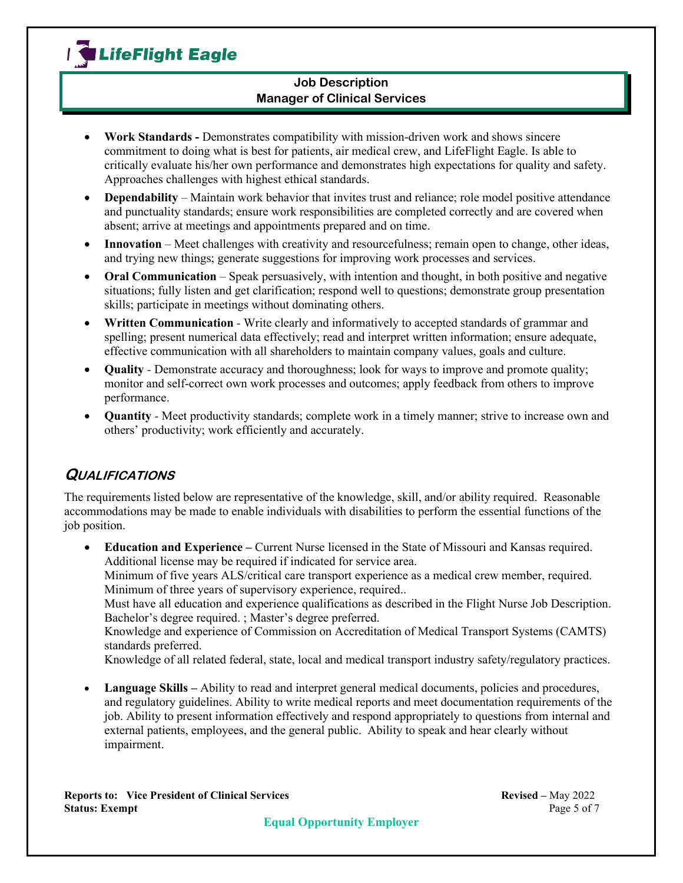

- **Work Standards -** Demonstrates compatibility with mission-driven work and shows sincere commitment to doing what is best for patients, air medical crew, and LifeFlight Eagle. Is able to critically evaluate his/her own performance and demonstrates high expectations for quality and safety. Approaches challenges with highest ethical standards.
- **Dependability** Maintain work behavior that invites trust and reliance; role model positive attendance and punctuality standards; ensure work responsibilities are completed correctly and are covered when absent; arrive at meetings and appointments prepared and on time.
- **Innovation** Meet challenges with creativity and resourcefulness; remain open to change, other ideas, and trying new things; generate suggestions for improving work processes and services.
- **Oral Communication** Speak persuasively, with intention and thought, in both positive and negative situations; fully listen and get clarification; respond well to questions; demonstrate group presentation skills; participate in meetings without dominating others.
- **Written Communication** *-* Write clearly and informatively to accepted standards of grammar and spelling; present numerical data effectively; read and interpret written information; ensure adequate, effective communication with all shareholders to maintain company values, goals and culture.
- **Quality** *-* Demonstrate accuracy and thoroughness; look for ways to improve and promote quality; monitor and self-correct own work processes and outcomes; apply feedback from others to improve performance.
- **Quantity** *-* Meet productivity standards; complete work in a timely manner; strive to increase own and others' productivity; work efficiently and accurately.

## **QUALIFICATIONS**

The requirements listed below are representative of the knowledge, skill, and/or ability required. Reasonable accommodations may be made to enable individuals with disabilities to perform the essential functions of the job position.

• **Education and Experience –** Current Nurse licensed in the State of Missouri and Kansas required. Additional license may be required if indicated for service area. Minimum of five years ALS/critical care transport experience as a medical crew member, required.

Minimum of three years of supervisory experience, required..

Must have all education and experience qualifications as described in the Flight Nurse Job Description. Bachelor's degree required. ; Master's degree preferred.

Knowledge and experience of Commission on Accreditation of Medical Transport Systems (CAMTS) standards preferred.

Knowledge of all related federal, state, local and medical transport industry safety/regulatory practices.

• **Language Skills** – Ability to read and interpret general medical documents, policies and procedures, and regulatory guidelines. Ability to write medical reports and meet documentation requirements of the job. Ability to present information effectively and respond appropriately to questions from internal and external patients, employees, and the general public. Ability to speak and hear clearly without impairment.

**Reports to: Vice President of Clinical Services Revised – May 2022<br>
<b>Status: Exempt** Page 5 of 7 **Status: Exempt**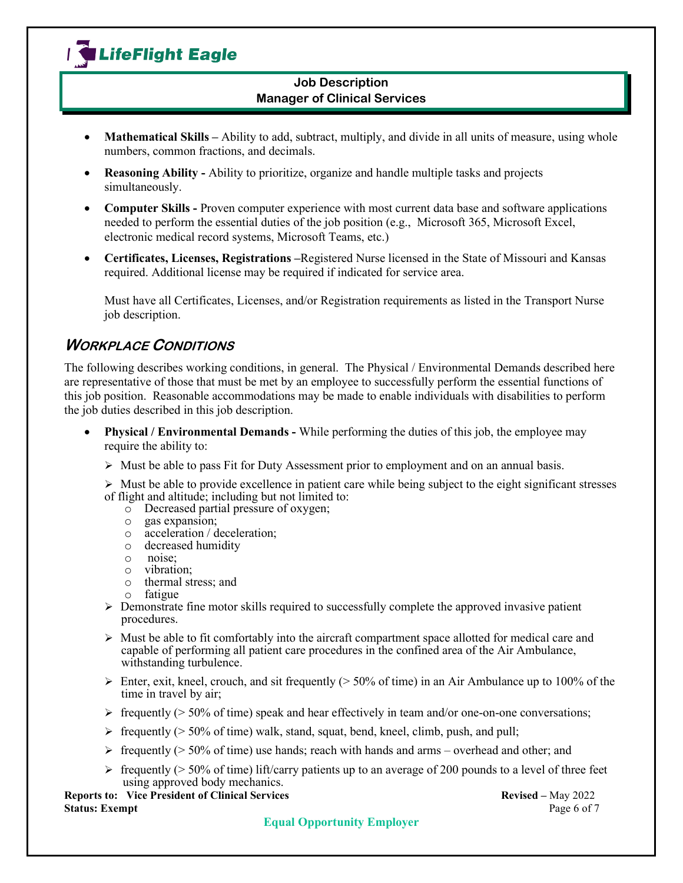

- **Mathematical Skills** Ability to add, subtract, multiply, and divide in all units of measure, using whole numbers, common fractions, and decimals.
- **Reasoning Ability -** Ability to prioritize, organize and handle multiple tasks and projects simultaneously.
- **Computer Skills** Proven computer experience with most current data base and software applications needed to perform the essential duties of the job position (e.g., Microsoft 365, Microsoft Excel, electronic medical record systems, Microsoft Teams, etc.)
- **Certificates, Licenses, Registrations –**Registered Nurse licensed in the State of Missouri and Kansas required. Additional license may be required if indicated for service area.

Must have all Certificates, Licenses, and/or Registration requirements as listed in the Transport Nurse job description.

## **WORKPLACE CONDITIONS**

The following describes working conditions, in general. The Physical / Environmental Demands described here are representative of those that must be met by an employee to successfully perform the essential functions of this job position. Reasonable accommodations may be made to enable individuals with disabilities to perform the job duties described in this job description.

- **Physical / Environmental Demands -** While performing the duties of this job, the employee may require the ability to:
	- $\triangleright$  Must be able to pass Fit for Duty Assessment prior to employment and on an annual basis.

 $\triangleright$  Must be able to provide excellence in patient care while being subject to the eight significant stresses of flight and altitude; including but not limited to:

- $\circ$  Decreased partial pressure of oxygen;<br> $\circ$  gas expansion;
- $\circ$  gas expansion;<br> $\circ$  acceleration / d
- o acceleration / deceleration;
- $\circ$  decreased humidity<br> $\circ$  noise:
- o noise;
- o vibration;
- $\circ$  thermal stress; and  $\circ$  fatigue
- fatigue
- $\triangleright$  Demonstrate fine motor skills required to successfully complete the approved invasive patient procedures.
- $\triangleright$  Must be able to fit comfortably into the aircraft compartment space allotted for medical care and capable of performing all patient care procedures in the confined area of the Air Ambulance, withstanding turbulence.
- Enter, exit, kneel, crouch, and sit frequently ( $> 50\%$  of time) in an Air Ambulance up to 100% of the time in travel by air;
- $\triangleright$  frequently ( $\triangleright$  50% of time) speak and hear effectively in team and/or one-on-one conversations;
- $\triangleright$  frequently ( $> 50\%$  of time) walk, stand, squat, bend, kneel, climb, push, and pull;
- $\ge$  frequently ( $>$  50% of time) use hands; reach with hands and arms overhead and other; and
- $\geq$  frequently ( $>$  50% of time) lift/carry patients up to an average of 200 pounds to a level of three feet using approved body mechanics.

**Reports to: Vice President of Clinical Services Revised –** May 2022<br> **Status: Exempt** Page 6 of 7 **Status: Exempt**